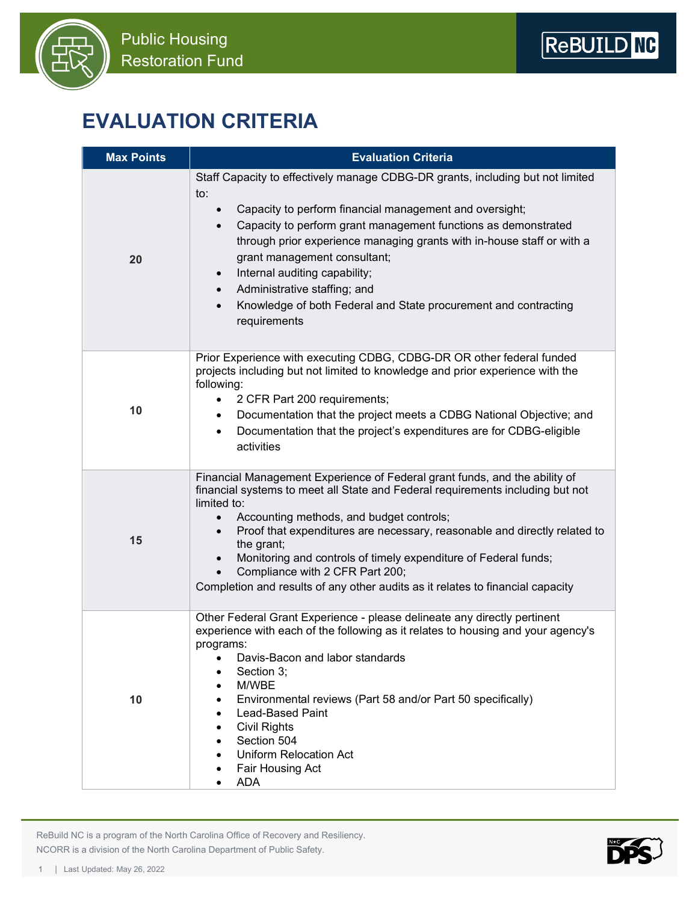



## **EVALUATION CRITERIA**

| <b>Max Points</b> | <b>Evaluation Criteria</b>                                                                                                                                                                                                                                                                                                                                                                                                                                                                                                                        |
|-------------------|---------------------------------------------------------------------------------------------------------------------------------------------------------------------------------------------------------------------------------------------------------------------------------------------------------------------------------------------------------------------------------------------------------------------------------------------------------------------------------------------------------------------------------------------------|
| 20                | Staff Capacity to effectively manage CDBG-DR grants, including but not limited<br>to:<br>Capacity to perform financial management and oversight;<br>Capacity to perform grant management functions as demonstrated<br>$\bullet$<br>through prior experience managing grants with in-house staff or with a<br>grant management consultant;<br>Internal auditing capability;<br>$\bullet$<br>Administrative staffing; and<br>$\bullet$<br>Knowledge of both Federal and State procurement and contracting<br>$\bullet$<br>requirements              |
| 10                | Prior Experience with executing CDBG, CDBG-DR OR other federal funded<br>projects including but not limited to knowledge and prior experience with the<br>following:<br>2 CFR Part 200 requirements;<br>Documentation that the project meets a CDBG National Objective; and<br>٠<br>Documentation that the project's expenditures are for CDBG-eligible<br>$\bullet$<br>activities                                                                                                                                                                |
| 15                | Financial Management Experience of Federal grant funds, and the ability of<br>financial systems to meet all State and Federal requirements including but not<br>limited to:<br>Accounting methods, and budget controls;<br>Proof that expenditures are necessary, reasonable and directly related to<br>$\bullet$<br>the grant;<br>Monitoring and controls of timely expenditure of Federal funds;<br>$\bullet$<br>Compliance with 2 CFR Part 200;<br>$\bullet$<br>Completion and results of any other audits as it relates to financial capacity |
| 10                | Other Federal Grant Experience - please delineate any directly pertinent<br>experience with each of the following as it relates to housing and your agency's<br>programs:<br>Davis-Bacon and labor standards<br>Section 3;<br>٠<br>M/WBE<br>$\bullet$<br>Environmental reviews (Part 58 and/or Part 50 specifically)<br>$\bullet$<br><b>Lead-Based Paint</b><br>$\bullet$<br><b>Civil Rights</b><br>$\bullet$<br>Section 504<br>$\bullet$<br><b>Uniform Relocation Act</b><br>٠<br>Fair Housing Act<br>٠<br><b>ADA</b><br>$\bullet$               |

 ReBuild NC is a program of the North Carolina Office of Recovery and Resiliency. NCORR is a division of the North Carolina Department of Public Safety.